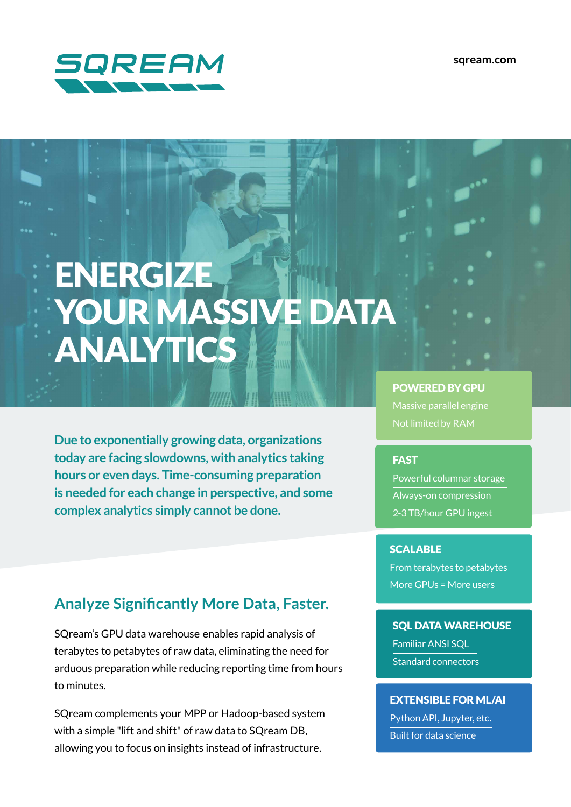

**com.sqream**

# ENERGIZE YOUR MASSIVE DATA ANALYTICS

**Due to exponentially growing data, organizations** today are facing slowdowns, with analytics taking hours or even days. Time-consuming preparation is needed for each change in perspective, and some **complex analytics simply cannot be done.** 

# **Analyze Significantly More Data, Faster.**

SQream's GPU data warehouse enables rapid analysis of terabytes to petabytes of raw data, eliminating the need for arduous preparation while reducing reporting time from hours to minutes.

SQream complements your MPP or Hadoop-based system with a simple "lift and shift" of raw data to SOream DB. allowing you to focus on insights instead of infrastructure.

#### **POWERED BY GPU**

Massive parallel engine

### **FAST**

Powerful columnar storage Always-on compression 2-3 TB/hour GPU ingest

#### **SCALABLE**

From terabytes to petabytes More GPUs = More users

**SQL DATA WAREHOUSE Familiar ANSI SOL** Standard connectors

### **EXTENSIBLE FOR ML/AI**

Python API, Jupyter, etc. Built for data science